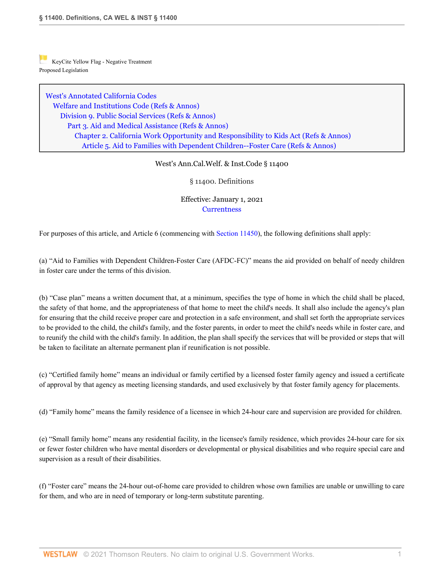[K](https://1.next.westlaw.com/Link/RelatedInformation/Flag?transitionType=Document&originationContext=docHeaderFlag&Rank=0&contextData=(sc.History*oc.Search) )eyCite Yellow Flag - Negative Treatment Proposed Legislation

[West's Annotated California Codes](http://www.westlaw.com/Browse/Home/StatutesCourtRules/CaliforniaStatutesCourtRules?transitionType=DocumentItem&contextData=(sc.History*oc.Search)&rs=clbt1.0&vr=3.0) [Welfare and Institutions Code](http://www.westlaw.com/Browse/Home/StatutesCourtRules/CaliforniaStatutesCourtRules?guid=N267F8AED6C8146C09C9E5C298C60FED3&transitionType=DocumentItem&contextData=(sc.History*oc.Search)&rs=clbt1.0&vr=3.0) [\(Refs & Annos\)](http://www.westlaw.com/Link/Document/FullText?findType=l&cite=lk(CASTERR)&originatingDoc=N26B7AEF002CF11EBBB39971006BACD51&refType=CM&sourceCite=West%27s+Ann.Cal.Welf.+%26+Inst.Code+%c2%a7+11400&originationContext=document&vr=3.0&rs=cblt1.0&transitionType=DocumentItem&pubNum=1000228&contextData=(sc.History*oc.Search)) [Division 9. Public Social Services](http://www.westlaw.com/Browse/Home/StatutesCourtRules/CaliforniaStatutesCourtRules?guid=NCECCE5DDE0574285BC50786A254B09E9&transitionType=DocumentItem&contextData=(sc.History*oc.Search)&rs=clbt1.0&vr=3.0) [\(Refs & Annos\)](http://www.westlaw.com/Link/Document/FullText?findType=l&cite=lk(CAWID9R)&originatingDoc=N26B7AEF002CF11EBBB39971006BACD51&refType=CM&sourceCite=West%27s+Ann.Cal.Welf.+%26+Inst.Code+%c2%a7+11400&originationContext=document&vr=3.0&rs=cblt1.0&transitionType=DocumentItem&pubNum=1000228&contextData=(sc.History*oc.Search)) [Part 3. Aid and Medical Assistance](http://www.westlaw.com/Browse/Home/StatutesCourtRules/CaliforniaStatutesCourtRules?guid=NF1403059B65F474CAA1EA98286C2446C&transitionType=DocumentItem&contextData=(sc.History*oc.Search)&rs=clbt1.0&vr=3.0) [\(Refs & Annos\)](http://www.westlaw.com/Link/Document/FullText?findType=l&cite=lk(CAWID9PT3R)&originatingDoc=N26B7AEF002CF11EBBB39971006BACD51&refType=CM&sourceCite=West%27s+Ann.Cal.Welf.+%26+Inst.Code+%c2%a7+11400&originationContext=document&vr=3.0&rs=cblt1.0&transitionType=DocumentItem&pubNum=1000228&contextData=(sc.History*oc.Search)) [Chapter 2. California Work Opportunity and Responsibility to Kids Act](http://www.westlaw.com/Browse/Home/StatutesCourtRules/CaliforniaStatutesCourtRules?guid=NCAF89FF9A3CA4FDB8859799126D3E41B&transitionType=DocumentItem&contextData=(sc.History*oc.Search)&rs=clbt1.0&vr=3.0) [\(Refs & Annos\)](http://www.westlaw.com/Link/Document/FullText?findType=l&cite=lk(CAWID9PT3C2R)&originatingDoc=N26B7AEF002CF11EBBB39971006BACD51&refType=CM&sourceCite=West%27s+Ann.Cal.Welf.+%26+Inst.Code+%c2%a7+11400&originationContext=document&vr=3.0&rs=cblt1.0&transitionType=DocumentItem&pubNum=1000228&contextData=(sc.History*oc.Search)) [Article 5. Aid to Families with Dependent Children--Foster Care](http://www.westlaw.com/Browse/Home/StatutesCourtRules/CaliforniaStatutesCourtRules?guid=N834778B3771E48EBA75A16DE38E9F95E&transitionType=DocumentItem&contextData=(sc.History*oc.Search)&rs=clbt1.0&vr=3.0) [\(Refs & Annos\)](http://www.westlaw.com/Link/Document/FullText?findType=l&cite=lk(CAWID9PT3C2ART5R)&originatingDoc=N26B7AEF002CF11EBBB39971006BACD51&refType=CM&sourceCite=West%27s+Ann.Cal.Welf.+%26+Inst.Code+%c2%a7+11400&originationContext=document&vr=3.0&rs=cblt1.0&transitionType=DocumentItem&pubNum=1000228&contextData=(sc.History*oc.Search))

## West's Ann.Cal.Welf. & Inst.Code § 11400

§ 11400. Definitions

Effective: January 1, 2021 **[Currentness](#page-5-0)** 

For purposes of this article, and Article 6 (commencing with [Section 11450\)](http://www.westlaw.com/Link/Document/FullText?findType=L&pubNum=1000228&cite=CAWIS11450&originatingDoc=N26B7AEF002CF11EBBB39971006BACD51&refType=LQ&originationContext=document&vr=3.0&rs=cblt1.0&transitionType=DocumentItem&contextData=(sc.History*oc.Search)), the following definitions shall apply:

(a) "Aid to Families with Dependent Children-Foster Care (AFDC-FC)" means the aid provided on behalf of needy children in foster care under the terms of this division.

(b) "Case plan" means a written document that, at a minimum, specifies the type of home in which the child shall be placed, the safety of that home, and the appropriateness of that home to meet the child's needs. It shall also include the agency's plan for ensuring that the child receive proper care and protection in a safe environment, and shall set forth the appropriate services to be provided to the child, the child's family, and the foster parents, in order to meet the child's needs while in foster care, and to reunify the child with the child's family. In addition, the plan shall specify the services that will be provided or steps that will be taken to facilitate an alternate permanent plan if reunification is not possible.

(c) "Certified family home" means an individual or family certified by a licensed foster family agency and issued a certificate of approval by that agency as meeting licensing standards, and used exclusively by that foster family agency for placements.

(d) "Family home" means the family residence of a licensee in which 24-hour care and supervision are provided for children.

(e) "Small family home" means any residential facility, in the licensee's family residence, which provides 24-hour care for six or fewer foster children who have mental disorders or developmental or physical disabilities and who require special care and supervision as a result of their disabilities.

(f) "Foster care" means the 24-hour out-of-home care provided to children whose own families are unable or unwilling to care for them, and who are in need of temporary or long-term substitute parenting.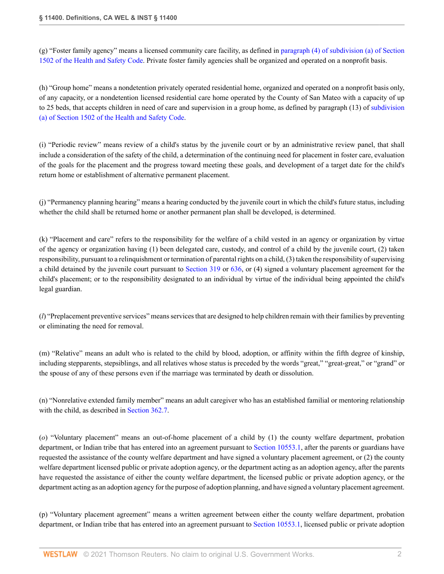(g) "Foster family agency" means a licensed community care facility, as defined in [paragraph \(4\) of subdivision \(a\) of Section](http://www.westlaw.com/Link/Document/FullText?findType=L&pubNum=1000213&cite=CAHSS1502&originatingDoc=N26B7AEF002CF11EBBB39971006BACD51&refType=SP&originationContext=document&vr=3.0&rs=cblt1.0&transitionType=DocumentItem&contextData=(sc.History*oc.Search)#co_pp_8b3b0000958a4) [1502 of the Health and Safety Code](http://www.westlaw.com/Link/Document/FullText?findType=L&pubNum=1000213&cite=CAHSS1502&originatingDoc=N26B7AEF002CF11EBBB39971006BACD51&refType=SP&originationContext=document&vr=3.0&rs=cblt1.0&transitionType=DocumentItem&contextData=(sc.History*oc.Search)#co_pp_8b3b0000958a4). Private foster family agencies shall be organized and operated on a nonprofit basis.

(h) "Group home" means a nondetention privately operated residential home, organized and operated on a nonprofit basis only, of any capacity, or a nondetention licensed residential care home operated by the County of San Mateo with a capacity of up to 25 beds, that accepts children in need of care and supervision in a group home, as defined by paragraph (13) of [subdivision](http://www.westlaw.com/Link/Document/FullText?findType=L&pubNum=1000213&cite=CAHSS1502&originatingDoc=N26B7AEF002CF11EBBB39971006BACD51&refType=SP&originationContext=document&vr=3.0&rs=cblt1.0&transitionType=DocumentItem&contextData=(sc.History*oc.Search)#co_pp_8b3b0000958a4) [\(a\) of Section 1502 of the Health and Safety Code](http://www.westlaw.com/Link/Document/FullText?findType=L&pubNum=1000213&cite=CAHSS1502&originatingDoc=N26B7AEF002CF11EBBB39971006BACD51&refType=SP&originationContext=document&vr=3.0&rs=cblt1.0&transitionType=DocumentItem&contextData=(sc.History*oc.Search)#co_pp_8b3b0000958a4).

(i) "Periodic review" means review of a child's status by the juvenile court or by an administrative review panel, that shall include a consideration of the safety of the child, a determination of the continuing need for placement in foster care, evaluation of the goals for the placement and the progress toward meeting these goals, and development of a target date for the child's return home or establishment of alternative permanent placement.

(j) "Permanency planning hearing" means a hearing conducted by the juvenile court in which the child's future status, including whether the child shall be returned home or another permanent plan shall be developed, is determined.

(k) "Placement and care" refers to the responsibility for the welfare of a child vested in an agency or organization by virtue of the agency or organization having (1) been delegated care, custody, and control of a child by the juvenile court, (2) taken responsibility, pursuant to a relinquishment or termination of parental rights on a child, (3) taken the responsibility of supervising a child detained by the juvenile court pursuant to [Section 319](http://www.westlaw.com/Link/Document/FullText?findType=L&pubNum=1000228&cite=CAWIS319&originatingDoc=N26B7AEF002CF11EBBB39971006BACD51&refType=LQ&originationContext=document&vr=3.0&rs=cblt1.0&transitionType=DocumentItem&contextData=(sc.History*oc.Search)) or [636](http://www.westlaw.com/Link/Document/FullText?findType=L&pubNum=1000228&cite=CAWIS636&originatingDoc=N26B7AEF002CF11EBBB39971006BACD51&refType=LQ&originationContext=document&vr=3.0&rs=cblt1.0&transitionType=DocumentItem&contextData=(sc.History*oc.Search)), or (4) signed a voluntary placement agreement for the child's placement; or to the responsibility designated to an individual by virtue of the individual being appointed the child's legal guardian.

(*l*) "Preplacement preventive services" means services that are designed to help children remain with their families by preventing or eliminating the need for removal.

(m) "Relative" means an adult who is related to the child by blood, adoption, or affinity within the fifth degree of kinship, including stepparents, stepsiblings, and all relatives whose status is preceded by the words "great," "great-great," or "grand" or the spouse of any of these persons even if the marriage was terminated by death or dissolution.

(n) "Nonrelative extended family member" means an adult caregiver who has an established familial or mentoring relationship with the child, as described in [Section 362.7.](http://www.westlaw.com/Link/Document/FullText?findType=L&pubNum=1000228&cite=CAWIS362.7&originatingDoc=N26B7AEF002CF11EBBB39971006BACD51&refType=LQ&originationContext=document&vr=3.0&rs=cblt1.0&transitionType=DocumentItem&contextData=(sc.History*oc.Search))

(*o*) "Voluntary placement" means an out-of-home placement of a child by (1) the county welfare department, probation department, or Indian tribe that has entered into an agreement pursuant to [Section 10553.1](http://www.westlaw.com/Link/Document/FullText?findType=L&pubNum=1000228&cite=CAWIS10553.1&originatingDoc=N26B7AEF002CF11EBBB39971006BACD51&refType=LQ&originationContext=document&vr=3.0&rs=cblt1.0&transitionType=DocumentItem&contextData=(sc.History*oc.Search)), after the parents or guardians have requested the assistance of the county welfare department and have signed a voluntary placement agreement, or (2) the county welfare department licensed public or private adoption agency, or the department acting as an adoption agency, after the parents have requested the assistance of either the county welfare department, the licensed public or private adoption agency, or the department acting as an adoption agency for the purpose of adoption planning, and have signed a voluntary placement agreement.

(p) "Voluntary placement agreement" means a written agreement between either the county welfare department, probation department, or Indian tribe that has entered into an agreement pursuant to [Section 10553.1](http://www.westlaw.com/Link/Document/FullText?findType=L&pubNum=1000228&cite=CAWIS10553.1&originatingDoc=N26B7AEF002CF11EBBB39971006BACD51&refType=LQ&originationContext=document&vr=3.0&rs=cblt1.0&transitionType=DocumentItem&contextData=(sc.History*oc.Search)), licensed public or private adoption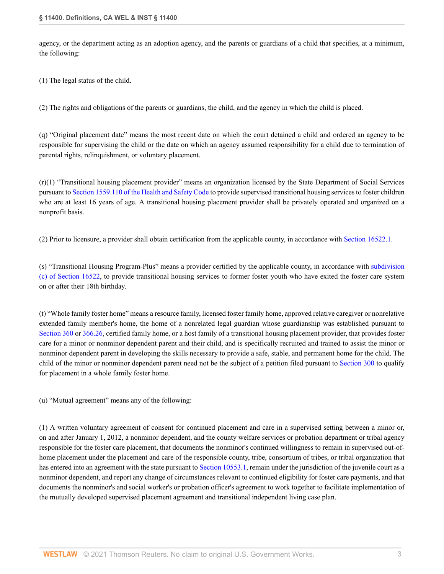agency, or the department acting as an adoption agency, and the parents or guardians of a child that specifies, at a minimum, the following:

(1) The legal status of the child.

(2) The rights and obligations of the parents or guardians, the child, and the agency in which the child is placed.

(q) "Original placement date" means the most recent date on which the court detained a child and ordered an agency to be responsible for supervising the child or the date on which an agency assumed responsibility for a child due to termination of parental rights, relinquishment, or voluntary placement.

 $(r)(1)$  "Transitional housing placement provider" means an organization licensed by the State Department of Social Services pursuant to [Section 1559.110 of the Health and Safety Code](http://www.westlaw.com/Link/Document/FullText?findType=L&pubNum=1000213&cite=CAHSS1559.110&originatingDoc=N26B7AEF002CF11EBBB39971006BACD51&refType=LQ&originationContext=document&vr=3.0&rs=cblt1.0&transitionType=DocumentItem&contextData=(sc.History*oc.Search)) to provide supervised transitional housing services to foster children who are at least 16 years of age. A transitional housing placement provider shall be privately operated and organized on a nonprofit basis.

(2) Prior to licensure, a provider shall obtain certification from the applicable county, in accordance with [Section 16522.1](http://www.westlaw.com/Link/Document/FullText?findType=L&pubNum=1000228&cite=CAWIS16522.1&originatingDoc=N26B7AEF002CF11EBBB39971006BACD51&refType=LQ&originationContext=document&vr=3.0&rs=cblt1.0&transitionType=DocumentItem&contextData=(sc.History*oc.Search)).

(s) "Transitional Housing Program-Plus" means a provider certified by the applicable county, in accordance with [subdivision](http://www.westlaw.com/Link/Document/FullText?findType=L&pubNum=1000228&cite=CAWIS16522&originatingDoc=N26B7AEF002CF11EBBB39971006BACD51&refType=SP&originationContext=document&vr=3.0&rs=cblt1.0&transitionType=DocumentItem&contextData=(sc.History*oc.Search)#co_pp_4b24000003ba5) [\(c\) of Section 16522,](http://www.westlaw.com/Link/Document/FullText?findType=L&pubNum=1000228&cite=CAWIS16522&originatingDoc=N26B7AEF002CF11EBBB39971006BACD51&refType=SP&originationContext=document&vr=3.0&rs=cblt1.0&transitionType=DocumentItem&contextData=(sc.History*oc.Search)#co_pp_4b24000003ba5) to provide transitional housing services to former foster youth who have exited the foster care system on or after their 18th birthday.

(t) "Whole family foster home" means a resource family, licensed foster family home, approved relative caregiver or nonrelative extended family member's home, the home of a nonrelated legal guardian whose guardianship was established pursuant to [Section 360](http://www.westlaw.com/Link/Document/FullText?findType=L&pubNum=1000228&cite=CAWIS360&originatingDoc=N26B7AEF002CF11EBBB39971006BACD51&refType=LQ&originationContext=document&vr=3.0&rs=cblt1.0&transitionType=DocumentItem&contextData=(sc.History*oc.Search)) or [366.26,](http://www.westlaw.com/Link/Document/FullText?findType=L&pubNum=1000228&cite=CAWIS366.26&originatingDoc=N26B7AEF002CF11EBBB39971006BACD51&refType=LQ&originationContext=document&vr=3.0&rs=cblt1.0&transitionType=DocumentItem&contextData=(sc.History*oc.Search)) certified family home, or a host family of a transitional housing placement provider, that provides foster care for a minor or nonminor dependent parent and their child, and is specifically recruited and trained to assist the minor or nonminor dependent parent in developing the skills necessary to provide a safe, stable, and permanent home for the child. The child of the minor or nonminor dependent parent need not be the subject of a petition filed pursuant to [Section 300](http://www.westlaw.com/Link/Document/FullText?findType=L&pubNum=1000228&cite=CAWIS300&originatingDoc=N26B7AEF002CF11EBBB39971006BACD51&refType=LQ&originationContext=document&vr=3.0&rs=cblt1.0&transitionType=DocumentItem&contextData=(sc.History*oc.Search)) to qualify for placement in a whole family foster home.

(u) "Mutual agreement" means any of the following:

(1) A written voluntary agreement of consent for continued placement and care in a supervised setting between a minor or, on and after January 1, 2012, a nonminor dependent, and the county welfare services or probation department or tribal agency responsible for the foster care placement, that documents the nonminor's continued willingness to remain in supervised out-ofhome placement under the placement and care of the responsible county, tribe, consortium of tribes, or tribal organization that has entered into an agreement with the state pursuant to [Section 10553.1,](http://www.westlaw.com/Link/Document/FullText?findType=L&pubNum=1000228&cite=CAWIS10553.1&originatingDoc=N26B7AEF002CF11EBBB39971006BACD51&refType=LQ&originationContext=document&vr=3.0&rs=cblt1.0&transitionType=DocumentItem&contextData=(sc.History*oc.Search)) remain under the jurisdiction of the juvenile court as a nonminor dependent, and report any change of circumstances relevant to continued eligibility for foster care payments, and that documents the nonminor's and social worker's or probation officer's agreement to work together to facilitate implementation of the mutually developed supervised placement agreement and transitional independent living case plan.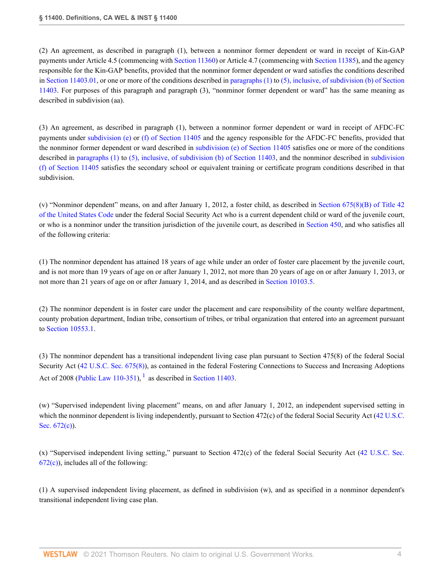(2) An agreement, as described in paragraph (1), between a nonminor former dependent or ward in receipt of Kin-GAP payments under Article 4.5 (commencing with [Section 11360](http://www.westlaw.com/Link/Document/FullText?findType=L&pubNum=1000228&cite=CAWIS11360&originatingDoc=N26B7AEF002CF11EBBB39971006BACD51&refType=LQ&originationContext=document&vr=3.0&rs=cblt1.0&transitionType=DocumentItem&contextData=(sc.History*oc.Search))) or Article 4.7 (commencing with [Section 11385\)](http://www.westlaw.com/Link/Document/FullText?findType=L&pubNum=1000228&cite=CAWIS11385&originatingDoc=N26B7AEF002CF11EBBB39971006BACD51&refType=LQ&originationContext=document&vr=3.0&rs=cblt1.0&transitionType=DocumentItem&contextData=(sc.History*oc.Search)), and the agency responsible for the Kin-GAP benefits, provided that the nonminor former dependent or ward satisfies the conditions described in [Section 11403.01](http://www.westlaw.com/Link/Document/FullText?findType=L&pubNum=1000228&cite=CAWIS11403.01&originatingDoc=N26B7AEF002CF11EBBB39971006BACD51&refType=LQ&originationContext=document&vr=3.0&rs=cblt1.0&transitionType=DocumentItem&contextData=(sc.History*oc.Search)), or one or more of the conditions described in [paragraphs \(1\)](http://www.westlaw.com/Link/Document/FullText?findType=L&pubNum=1000228&cite=CAWIS11403&originatingDoc=N26B7AEF002CF11EBBB39971006BACD51&refType=SP&originationContext=document&vr=3.0&rs=cblt1.0&transitionType=DocumentItem&contextData=(sc.History*oc.Search)#co_pp_a83b000018c76) to [\(5\), inclusive, of subdivision \(b\) of Section](http://www.westlaw.com/Link/Document/FullText?findType=L&pubNum=1000228&cite=CAWIS11403&originatingDoc=N26B7AEF002CF11EBBB39971006BACD51&refType=SP&originationContext=document&vr=3.0&rs=cblt1.0&transitionType=DocumentItem&contextData=(sc.History*oc.Search)#co_pp_a83b000018c76) [11403.](http://www.westlaw.com/Link/Document/FullText?findType=L&pubNum=1000228&cite=CAWIS11403&originatingDoc=N26B7AEF002CF11EBBB39971006BACD51&refType=SP&originationContext=document&vr=3.0&rs=cblt1.0&transitionType=DocumentItem&contextData=(sc.History*oc.Search)#co_pp_a83b000018c76) For purposes of this paragraph and paragraph (3), "nonminor former dependent or ward" has the same meaning as described in subdivision (aa).

(3) An agreement, as described in paragraph (1), between a nonminor former dependent or ward in receipt of AFDC-FC payments under [subdivision \(e\)](http://www.westlaw.com/Link/Document/FullText?findType=L&pubNum=1000228&cite=CAWIS11405&originatingDoc=N26B7AEF002CF11EBBB39971006BACD51&refType=SP&originationContext=document&vr=3.0&rs=cblt1.0&transitionType=DocumentItem&contextData=(sc.History*oc.Search)#co_pp_7fdd00001ca15) or [\(f\) of Section 11405](http://www.westlaw.com/Link/Document/FullText?findType=L&pubNum=1000228&cite=CAWIS11405&originatingDoc=N26B7AEF002CF11EBBB39971006BACD51&refType=SP&originationContext=document&vr=3.0&rs=cblt1.0&transitionType=DocumentItem&contextData=(sc.History*oc.Search)#co_pp_ae0d0000c5150) and the agency responsible for the AFDC-FC benefits, provided that the nonminor former dependent or ward described in [subdivision \(e\) of Section 11405](http://www.westlaw.com/Link/Document/FullText?findType=L&pubNum=1000228&cite=CAWIS11405&originatingDoc=N26B7AEF002CF11EBBB39971006BACD51&refType=SP&originationContext=document&vr=3.0&rs=cblt1.0&transitionType=DocumentItem&contextData=(sc.History*oc.Search)#co_pp_7fdd00001ca15) satisfies one or more of the conditions described in [paragraphs \(1\)](http://www.westlaw.com/Link/Document/FullText?findType=L&pubNum=1000228&cite=CAWIS11403&originatingDoc=N26B7AEF002CF11EBBB39971006BACD51&refType=SP&originationContext=document&vr=3.0&rs=cblt1.0&transitionType=DocumentItem&contextData=(sc.History*oc.Search)#co_pp_a83b000018c76) to [\(5\), inclusive, of subdivision \(b\) of Section 11403](http://www.westlaw.com/Link/Document/FullText?findType=L&pubNum=1000228&cite=CAWIS11403&originatingDoc=N26B7AEF002CF11EBBB39971006BACD51&refType=SP&originationContext=document&vr=3.0&rs=cblt1.0&transitionType=DocumentItem&contextData=(sc.History*oc.Search)#co_pp_a83b000018c76), and the nonminor described in [subdivision](http://www.westlaw.com/Link/Document/FullText?findType=L&pubNum=1000228&cite=CAWIS11405&originatingDoc=N26B7AEF002CF11EBBB39971006BACD51&refType=SP&originationContext=document&vr=3.0&rs=cblt1.0&transitionType=DocumentItem&contextData=(sc.History*oc.Search)#co_pp_ae0d0000c5150) [\(f\) of Section 11405](http://www.westlaw.com/Link/Document/FullText?findType=L&pubNum=1000228&cite=CAWIS11405&originatingDoc=N26B7AEF002CF11EBBB39971006BACD51&refType=SP&originationContext=document&vr=3.0&rs=cblt1.0&transitionType=DocumentItem&contextData=(sc.History*oc.Search)#co_pp_ae0d0000c5150) satisfies the secondary school or equivalent training or certificate program conditions described in that subdivision.

(v) "Nonminor dependent" means, on and after January 1, 2012, a foster child, as described in [Section 675\(8\)\(B\) of Title 42](http://www.westlaw.com/Link/Document/FullText?findType=L&pubNum=1000546&cite=42USCAS675&originatingDoc=N26B7AEF002CF11EBBB39971006BACD51&refType=SP&originationContext=document&vr=3.0&rs=cblt1.0&transitionType=DocumentItem&contextData=(sc.History*oc.Search)#co_pp_b28f000006261) [of the United States Code](http://www.westlaw.com/Link/Document/FullText?findType=L&pubNum=1000546&cite=42USCAS675&originatingDoc=N26B7AEF002CF11EBBB39971006BACD51&refType=SP&originationContext=document&vr=3.0&rs=cblt1.0&transitionType=DocumentItem&contextData=(sc.History*oc.Search)#co_pp_b28f000006261) under the federal Social Security Act who is a current dependent child or ward of the juvenile court, or who is a nonminor under the transition jurisdiction of the juvenile court, as described in [Section 450](http://www.westlaw.com/Link/Document/FullText?findType=L&pubNum=1000228&cite=CAWIS450&originatingDoc=N26B7AEF002CF11EBBB39971006BACD51&refType=LQ&originationContext=document&vr=3.0&rs=cblt1.0&transitionType=DocumentItem&contextData=(sc.History*oc.Search)), and who satisfies all of the following criteria:

(1) The nonminor dependent has attained 18 years of age while under an order of foster care placement by the juvenile court, and is not more than 19 years of age on or after January 1, 2012, not more than 20 years of age on or after January 1, 2013, or not more than 21 years of age on or after January 1, 2014, and as described in [Section 10103.5.](http://www.westlaw.com/Link/Document/FullText?findType=L&pubNum=1000228&cite=CAWIS10103.5&originatingDoc=N26B7AEF002CF11EBBB39971006BACD51&refType=LQ&originationContext=document&vr=3.0&rs=cblt1.0&transitionType=DocumentItem&contextData=(sc.History*oc.Search))

(2) The nonminor dependent is in foster care under the placement and care responsibility of the county welfare department, county probation department, Indian tribe, consortium of tribes, or tribal organization that entered into an agreement pursuant to [Section 10553.1](http://www.westlaw.com/Link/Document/FullText?findType=L&pubNum=1000228&cite=CAWIS10553.1&originatingDoc=N26B7AEF002CF11EBBB39971006BACD51&refType=LQ&originationContext=document&vr=3.0&rs=cblt1.0&transitionType=DocumentItem&contextData=(sc.History*oc.Search)).

<span id="page-3-0"></span>(3) The nonminor dependent has a transitional independent living case plan pursuant to Section 475(8) of the federal Social Security Act ([42 U.S.C. Sec. 675\(8\)](http://www.westlaw.com/Link/Document/FullText?findType=L&pubNum=1000546&cite=42USCAS675&originatingDoc=N26B7AEF002CF11EBBB39971006BACD51&refType=SP&originationContext=document&vr=3.0&rs=cblt1.0&transitionType=DocumentItem&contextData=(sc.History*oc.Search)#co_pp_23450000ab4d2)), as contained in the federal Fostering Connections to Success and Increasing Adoptions Act of 2008 ([Public Law 110-351\)](http://www.westlaw.com/Link/Document/FullText?findType=l&pubNum=1077005&cite=UUID(IE62790C095-5E11DDBE06B-D1E4637FFA9)&originatingDoc=N26B7AEF002CF11EBBB39971006BACD51&refType=SL&originationContext=document&vr=3.0&rs=cblt1.0&transitionType=DocumentItem&contextData=(sc.History*oc.Search)), <sup>[1](#page-5-1)</sup> as described in [Section 11403.](http://www.westlaw.com/Link/Document/FullText?findType=L&pubNum=1000228&cite=CAWIS11403&originatingDoc=N26B7AEF002CF11EBBB39971006BACD51&refType=LQ&originationContext=document&vr=3.0&rs=cblt1.0&transitionType=DocumentItem&contextData=(sc.History*oc.Search))

(w) "Supervised independent living placement" means, on and after January 1, 2012, an independent supervised setting in which the nonminor dependent is living independently, pursuant to Section 472(c) of the federal Social Security Act ([42 U.S.C.](http://www.westlaw.com/Link/Document/FullText?findType=L&pubNum=1000546&cite=42USCAS672&originatingDoc=N26B7AEF002CF11EBBB39971006BACD51&refType=SP&originationContext=document&vr=3.0&rs=cblt1.0&transitionType=DocumentItem&contextData=(sc.History*oc.Search)#co_pp_4b24000003ba5) [Sec. 672\(c\)\)](http://www.westlaw.com/Link/Document/FullText?findType=L&pubNum=1000546&cite=42USCAS672&originatingDoc=N26B7AEF002CF11EBBB39971006BACD51&refType=SP&originationContext=document&vr=3.0&rs=cblt1.0&transitionType=DocumentItem&contextData=(sc.History*oc.Search)#co_pp_4b24000003ba5).

(x) "Supervised independent living setting," pursuant to Section 472(c) of the federal Social Security Act ([42 U.S.C. Sec.](http://www.westlaw.com/Link/Document/FullText?findType=L&pubNum=1000546&cite=42USCAS672&originatingDoc=N26B7AEF002CF11EBBB39971006BACD51&refType=SP&originationContext=document&vr=3.0&rs=cblt1.0&transitionType=DocumentItem&contextData=(sc.History*oc.Search)#co_pp_4b24000003ba5)  $672(c)$ , includes all of the following:

(1) A supervised independent living placement, as defined in subdivision (w), and as specified in a nonminor dependent's transitional independent living case plan.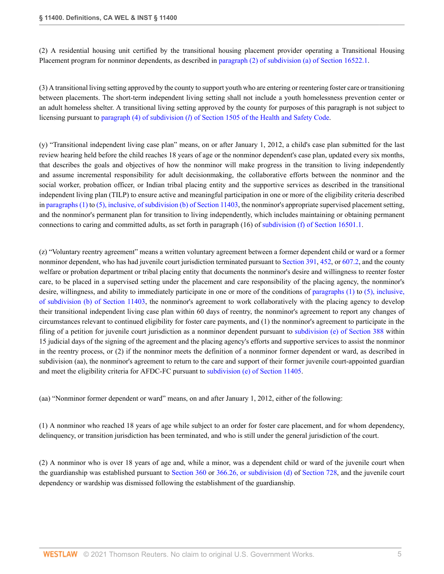(2) A residential housing unit certified by the transitional housing placement provider operating a Transitional Housing Placement program for nonminor dependents, as described in [paragraph \(2\) of subdivision \(a\) of Section 16522.1](http://www.westlaw.com/Link/Document/FullText?findType=L&pubNum=1000228&cite=CAWIS16522.1&originatingDoc=N26B7AEF002CF11EBBB39971006BACD51&refType=SP&originationContext=document&vr=3.0&rs=cblt1.0&transitionType=DocumentItem&contextData=(sc.History*oc.Search)#co_pp_8b3b0000958a4).

(3) A transitional living setting approved by the county to support youth who are entering or reentering foster care or transitioning between placements. The short-term independent living setting shall not include a youth homelessness prevention center or an adult homeless shelter. A transitional living setting approved by the county for purposes of this paragraph is not subject to licensing pursuant to paragraph (4) of subdivision (*l*[\) of Section 1505 of the Health and Safety Code](http://www.westlaw.com/Link/Document/FullText?findType=L&pubNum=1000213&cite=CAHSS1505&originatingDoc=N26B7AEF002CF11EBBB39971006BACD51&refType=SP&originationContext=document&vr=3.0&rs=cblt1.0&transitionType=DocumentItem&contextData=(sc.History*oc.Search)#co_pp_3cd1000064020).

(y) "Transitional independent living case plan" means, on or after January 1, 2012, a child's case plan submitted for the last review hearing held before the child reaches 18 years of age or the nonminor dependent's case plan, updated every six months, that describes the goals and objectives of how the nonminor will make progress in the transition to living independently and assume incremental responsibility for adult decisionmaking, the collaborative efforts between the nonminor and the social worker, probation officer, or Indian tribal placing entity and the supportive services as described in the transitional independent living plan (TILP) to ensure active and meaningful participation in one or more of the eligibility criteria described in [paragraphs \(1\)](http://www.westlaw.com/Link/Document/FullText?findType=L&pubNum=1000228&cite=CAWIS11403&originatingDoc=N26B7AEF002CF11EBBB39971006BACD51&refType=SP&originationContext=document&vr=3.0&rs=cblt1.0&transitionType=DocumentItem&contextData=(sc.History*oc.Search)#co_pp_a83b000018c76) to [\(5\), inclusive, of subdivision \(b\) of Section 11403](http://www.westlaw.com/Link/Document/FullText?findType=L&pubNum=1000228&cite=CAWIS11403&originatingDoc=N26B7AEF002CF11EBBB39971006BACD51&refType=SP&originationContext=document&vr=3.0&rs=cblt1.0&transitionType=DocumentItem&contextData=(sc.History*oc.Search)#co_pp_a83b000018c76), the nonminor's appropriate supervised placement setting, and the nonminor's permanent plan for transition to living independently, which includes maintaining or obtaining permanent connections to caring and committed adults, as set forth in paragraph (16) of [subdivision \(f\) of Section 16501.1.](http://www.westlaw.com/Link/Document/FullText?findType=L&pubNum=1000228&cite=CAWIS16501.1&originatingDoc=N26B7AEF002CF11EBBB39971006BACD51&refType=SP&originationContext=document&vr=3.0&rs=cblt1.0&transitionType=DocumentItem&contextData=(sc.History*oc.Search)#co_pp_ae0d0000c5150)

(z) "Voluntary reentry agreement" means a written voluntary agreement between a former dependent child or ward or a former nonminor dependent, who has had juvenile court jurisdiction terminated pursuant to [Section 391](http://www.westlaw.com/Link/Document/FullText?findType=L&pubNum=1000228&cite=CAWIS391&originatingDoc=N26B7AEF002CF11EBBB39971006BACD51&refType=LQ&originationContext=document&vr=3.0&rs=cblt1.0&transitionType=DocumentItem&contextData=(sc.History*oc.Search)), [452,](http://www.westlaw.com/Link/Document/FullText?findType=L&pubNum=1000228&cite=CAWIS452&originatingDoc=N26B7AEF002CF11EBBB39971006BACD51&refType=LQ&originationContext=document&vr=3.0&rs=cblt1.0&transitionType=DocumentItem&contextData=(sc.History*oc.Search)) or [607.2,](http://www.westlaw.com/Link/Document/FullText?findType=L&pubNum=1000228&cite=CAWIS607.2&originatingDoc=N26B7AEF002CF11EBBB39971006BACD51&refType=LQ&originationContext=document&vr=3.0&rs=cblt1.0&transitionType=DocumentItem&contextData=(sc.History*oc.Search)) and the county welfare or probation department or tribal placing entity that documents the nonminor's desire and willingness to reenter foster care, to be placed in a supervised setting under the placement and care responsibility of the placing agency, the nonminor's desire, willingness, and ability to immediately participate in one or more of the conditions of [paragraphs \(1\)](http://www.westlaw.com/Link/Document/FullText?findType=L&pubNum=1000228&cite=CAWIS11403&originatingDoc=N26B7AEF002CF11EBBB39971006BACD51&refType=SP&originationContext=document&vr=3.0&rs=cblt1.0&transitionType=DocumentItem&contextData=(sc.History*oc.Search)#co_pp_a83b000018c76) to [\(5\), inclusive,](http://www.westlaw.com/Link/Document/FullText?findType=L&pubNum=1000228&cite=CAWIS11403&originatingDoc=N26B7AEF002CF11EBBB39971006BACD51&refType=SP&originationContext=document&vr=3.0&rs=cblt1.0&transitionType=DocumentItem&contextData=(sc.History*oc.Search)#co_pp_a83b000018c76) [of subdivision \(b\) of Section 11403](http://www.westlaw.com/Link/Document/FullText?findType=L&pubNum=1000228&cite=CAWIS11403&originatingDoc=N26B7AEF002CF11EBBB39971006BACD51&refType=SP&originationContext=document&vr=3.0&rs=cblt1.0&transitionType=DocumentItem&contextData=(sc.History*oc.Search)#co_pp_a83b000018c76), the nonminor's agreement to work collaboratively with the placing agency to develop their transitional independent living case plan within 60 days of reentry, the nonminor's agreement to report any changes of circumstances relevant to continued eligibility for foster care payments, and (1) the nonminor's agreement to participate in the filing of a petition for juvenile court jurisdiction as a nonminor dependent pursuant to [subdivision \(e\) of Section 388](http://www.westlaw.com/Link/Document/FullText?findType=L&pubNum=1000228&cite=CAWIS388&originatingDoc=N26B7AEF002CF11EBBB39971006BACD51&refType=SP&originationContext=document&vr=3.0&rs=cblt1.0&transitionType=DocumentItem&contextData=(sc.History*oc.Search)#co_pp_7fdd00001ca15) within 15 judicial days of the signing of the agreement and the placing agency's efforts and supportive services to assist the nonminor in the reentry process, or (2) if the nonminor meets the definition of a nonminor former dependent or ward, as described in subdivision (aa), the nonminor's agreement to return to the care and support of their former juvenile court-appointed guardian and meet the eligibility criteria for AFDC-FC pursuant to [subdivision \(e\) of Section 11405.](http://www.westlaw.com/Link/Document/FullText?findType=L&pubNum=1000228&cite=CAWIS11405&originatingDoc=N26B7AEF002CF11EBBB39971006BACD51&refType=SP&originationContext=document&vr=3.0&rs=cblt1.0&transitionType=DocumentItem&contextData=(sc.History*oc.Search)#co_pp_7fdd00001ca15)

(aa) "Nonminor former dependent or ward" means, on and after January 1, 2012, either of the following:

(1) A nonminor who reached 18 years of age while subject to an order for foster care placement, and for whom dependency, delinquency, or transition jurisdiction has been terminated, and who is still under the general jurisdiction of the court.

(2) A nonminor who is over 18 years of age and, while a minor, was a dependent child or ward of the juvenile court when the guardianship was established pursuant to [Section 360](http://www.westlaw.com/Link/Document/FullText?findType=L&pubNum=1000228&cite=CAWIS360&originatingDoc=N26B7AEF002CF11EBBB39971006BACD51&refType=LQ&originationContext=document&vr=3.0&rs=cblt1.0&transitionType=DocumentItem&contextData=(sc.History*oc.Search)) or [366.26, or subdivision \(d\)](http://www.westlaw.com/Link/Document/FullText?findType=L&pubNum=1000228&cite=CAWIS366.26&originatingDoc=N26B7AEF002CF11EBBB39971006BACD51&refType=SP&originationContext=document&vr=3.0&rs=cblt1.0&transitionType=DocumentItem&contextData=(sc.History*oc.Search)#co_pp_5ba1000067d06) of [Section 728,](http://www.westlaw.com/Link/Document/FullText?findType=L&pubNum=1000228&cite=CAWIS728&originatingDoc=N26B7AEF002CF11EBBB39971006BACD51&refType=LQ&originationContext=document&vr=3.0&rs=cblt1.0&transitionType=DocumentItem&contextData=(sc.History*oc.Search)) and the juvenile court dependency or wardship was dismissed following the establishment of the guardianship.